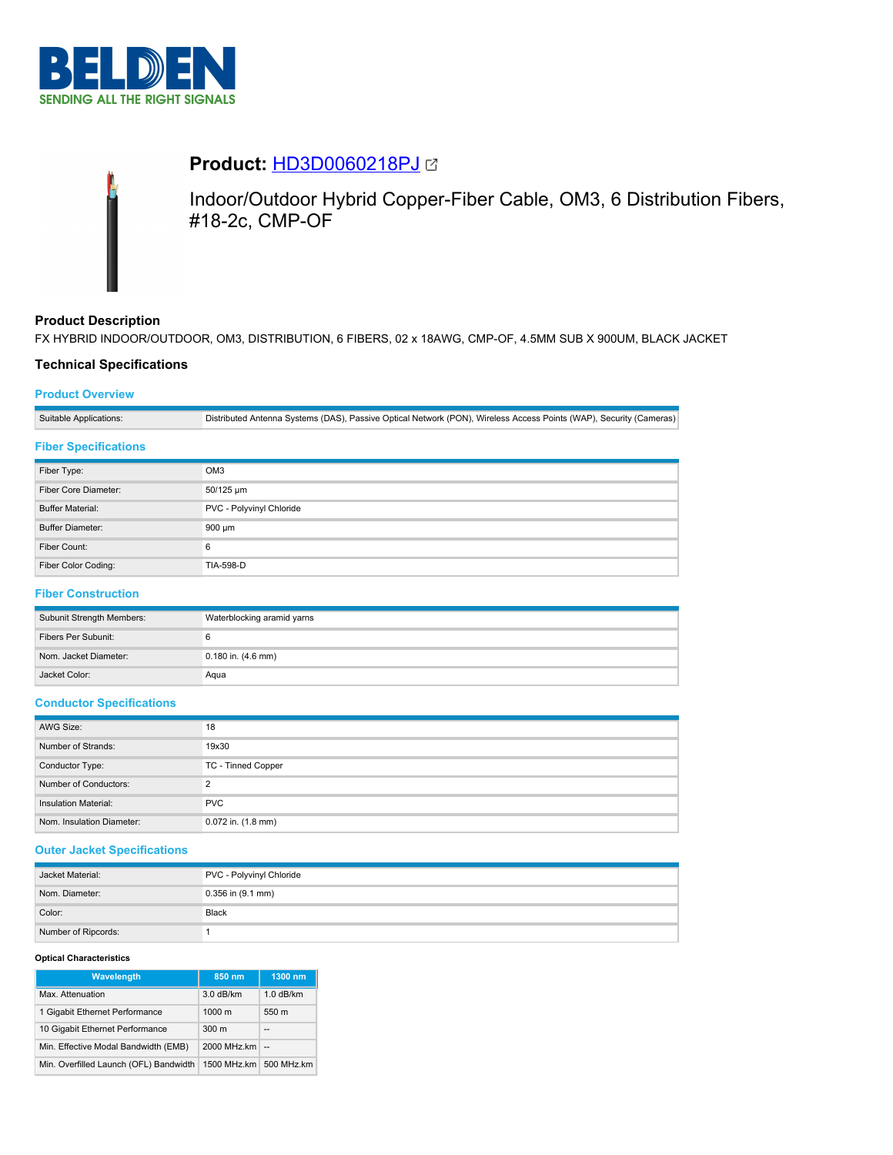



# **Product:** [HD3D0060218PJ](https://catalog.belden.com/index.cfm?event=pd&p=PF_HD3D0060218PJ&tab=downloads)

Indoor/Outdoor Hybrid Copper-Fiber Cable, OM3, 6 Distribution Fibers, #18-2c, CMP-OF

# **Product Description**

FX HYBRID INDOOR/OUTDOOR, OM3, DISTRIBUTION, 6 FIBERS, 02 x 18AWG, CMP-OF, 4.5MM SUB X 900UM, BLACK JACKET

## **Technical Specifications**

## **Product Overview**

Suitable Applications: Distributed Antenna Systems (DAS), Passive Optical Network (PON), Wireless Access Points (WAP), Security (Cameras)

## **Fiber Specifications**

| Fiber Type:             | OM <sub>3</sub>          |
|-------------------------|--------------------------|
| Fiber Core Diameter:    | 50/125 um                |
| <b>Buffer Material:</b> | PVC - Polyvinyl Chloride |
| <b>Buffer Diameter:</b> | 900 µm                   |
| Fiber Count:            | 6                        |
| Fiber Color Coding:     | <b>TIA-598-D</b>         |

# **Fiber Construction**

| Subunit Strength Members: | Waterblocking aramid yarns |
|---------------------------|----------------------------|
| Fibers Per Subunit:       |                            |
| Nom. Jacket Diameter:     | 0.180 in. (4.6 mm)         |
| Jacket Color:             | Agua                       |

## **Conductor Specifications**

| AWG Size:                 | 18                 |
|---------------------------|--------------------|
| Number of Strands:        | 19x30              |
| Conductor Type:           | TC - Tinned Copper |
| Number of Conductors:     | C                  |
| Insulation Material:      | <b>PVC</b>         |
| Nom. Insulation Diameter: | 0.072 in. (1.8 mm) |

## **Outer Jacket Specifications**

| Jacket Material:    | PVC - Polyvinyl Chloride |
|---------------------|--------------------------|
| Nom. Diameter:      | $0.356$ in $(9.1$ mm)    |
| Color:              | Black                    |
| Number of Ripcords: |                          |

#### **Optical Characteristics**

| Wavelength                             | 850 nm           | 1300 nm                  |
|----------------------------------------|------------------|--------------------------|
| Max. Attenuation                       | $3.0$ dB/km      | $1.0$ dB/km              |
| 1 Gigabit Ethernet Performance         | $1000 \text{ m}$ | 550 m                    |
| 10 Gigabit Ethernet Performance        | 300 <sub>m</sub> | $\overline{\phantom{a}}$ |
| Min. Effective Modal Bandwidth (EMB)   | 2000 MHz.km      | $\sim$                   |
| Min. Overfilled Launch (OFL) Bandwidth | 1500 MHz.km      | 500 MHz.km               |